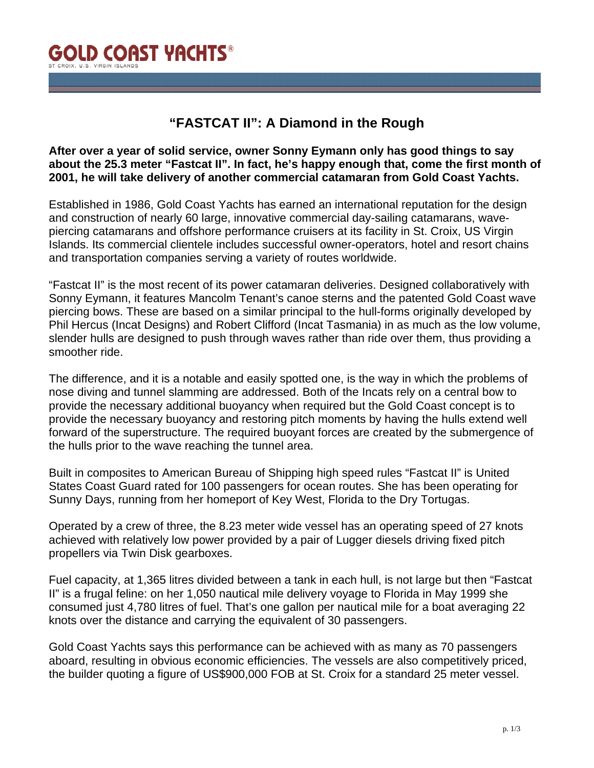

## **"FASTCAT II": A Diamond in the Rough**

## **After over a year of solid service, owner Sonny Eymann only has good things to say about the 25.3 meter "Fastcat II". In fact, he's happy enough that, come the first month of 2001, he will take delivery of another commercial catamaran from Gold Coast Yachts.**

Established in 1986, Gold Coast Yachts has earned an international reputation for the design and construction of nearly 60 large, innovative commercial day-sailing catamarans, wavepiercing catamarans and offshore performance cruisers at its facility in St. Croix, US Virgin Islands. Its commercial clientele includes successful owner-operators, hotel and resort chains and transportation companies serving a variety of routes worldwide.

"Fastcat II" is the most recent of its power catamaran deliveries. Designed collaboratively with Sonny Eymann, it features Mancolm Tenant's canoe sterns and the patented Gold Coast wave piercing bows. These are based on a similar principal to the hull-forms originally developed by Phil Hercus (Incat Designs) and Robert Clifford (Incat Tasmania) in as much as the low volume, slender hulls are designed to push through waves rather than ride over them, thus providing a smoother ride.

The difference, and it is a notable and easily spotted one, is the way in which the problems of nose diving and tunnel slamming are addressed. Both of the Incats rely on a central bow to provide the necessary additional buoyancy when required but the Gold Coast concept is to provide the necessary buoyancy and restoring pitch moments by having the hulls extend well forward of the superstructure. The required buoyant forces are created by the submergence of the hulls prior to the wave reaching the tunnel area.

Built in composites to American Bureau of Shipping high speed rules "Fastcat II" is United States Coast Guard rated for 100 passengers for ocean routes. She has been operating for Sunny Days, running from her homeport of Key West, Florida to the Dry Tortugas.

Operated by a crew of three, the 8.23 meter wide vessel has an operating speed of 27 knots achieved with relatively low power provided by a pair of Lugger diesels driving fixed pitch propellers via Twin Disk gearboxes.

Fuel capacity, at 1,365 litres divided between a tank in each hull, is not large but then "Fastcat II" is a frugal feline: on her 1,050 nautical mile delivery voyage to Florida in May 1999 she consumed just 4,780 litres of fuel. That's one gallon per nautical mile for a boat averaging 22 knots over the distance and carrying the equivalent of 30 passengers.

Gold Coast Yachts says this performance can be achieved with as many as 70 passengers aboard, resulting in obvious economic efficiencies. The vessels are also competitively priced, the builder quoting a figure of US\$900,000 FOB at St. Croix for a standard 25 meter vessel.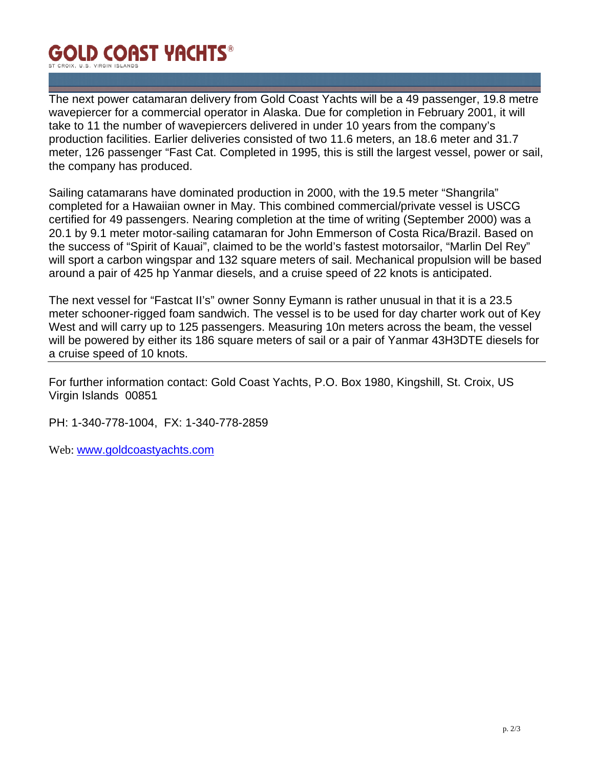## **GOLD COAST YACHTS®** ST CROIX. U.S. VIRGIN ISLAND

The next power catamaran delivery from Gold Coast Yachts will be a 49 passenger, 19.8 metre wavepiercer for a commercial operator in Alaska. Due for completion in February 2001, it will take to 11 the number of wavepiercers delivered in under 10 years from the company's production facilities. Earlier deliveries consisted of two 11.6 meters, an 18.6 meter and 31.7 meter, 126 passenger "Fast Cat. Completed in 1995, this is still the largest vessel, power or sail, the company has produced.

Sailing catamarans have dominated production in 2000, with the 19.5 meter "Shangrila" completed for a Hawaiian owner in May. This combined commercial/private vessel is USCG certified for 49 passengers. Nearing completion at the time of writing (September 2000) was a 20.1 by 9.1 meter motor-sailing catamaran for John Emmerson of Costa Rica/Brazil. Based on the success of "Spirit of Kauai", claimed to be the world's fastest motorsailor, "Marlin Del Rey" will sport a carbon wingspar and 132 square meters of sail. Mechanical propulsion will be based around a pair of 425 hp Yanmar diesels, and a cruise speed of 22 knots is anticipated.

The next vessel for "Fastcat II's" owner Sonny Eymann is rather unusual in that it is a 23.5 meter schooner-rigged foam sandwich. The vessel is to be used for day charter work out of Key West and will carry up to 125 passengers. Measuring 10n meters across the beam, the vessel will be powered by either its 186 square meters of sail or a pair of Yanmar 43H3DTE diesels for a cruise speed of 10 knots.

For further information contact: Gold Coast Yachts, P.O. Box 1980, Kingshill, St. Croix, US Virgin Islands 00851

PH: 1-340-778-1004, FX: 1-340-778-2859

Web: www.goldcoastyachts.com